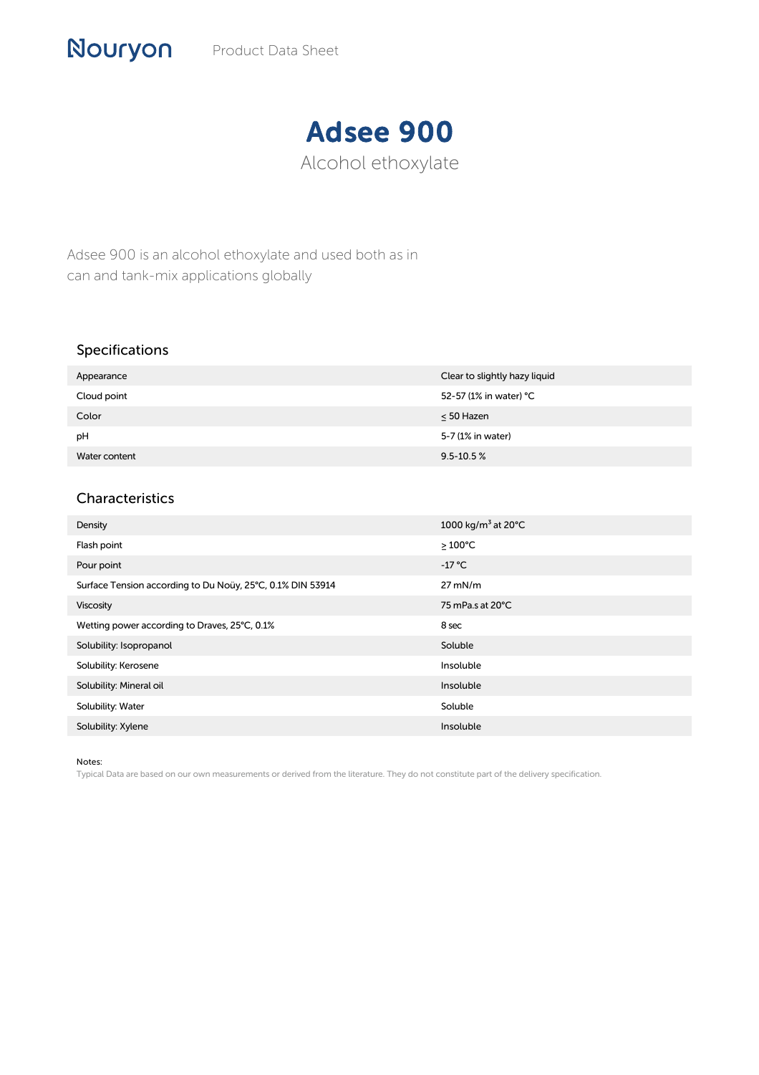## Adsee 900 Alcohol ethoxylate

Adsee 900 is an alcohol ethoxylate and used both as in can and tank-mix applications globally

## Specifications

Nouryon

| Appearance    | Clear to slightly hazy liquid |
|---------------|-------------------------------|
| Cloud point   | 52-57 (1% in water) °C        |
| Color         | $\leq 50$ Hazen               |
| pH            | 5-7 (1% in water)             |
| Water content | $9.5 - 10.5 %$                |

## Characteristics

| Density                                                    | 1000 kg/m <sup>3</sup> at 20 $^{\circ}$ C |
|------------------------------------------------------------|-------------------------------------------|
| Flash point                                                | $\geq 100^{\circ}$ C                      |
| Pour point                                                 | $-17$ °C                                  |
| Surface Tension according to Du Noüy, 25°C, 0.1% DIN 53914 | $27$ mN/m                                 |
| Viscosity                                                  | 75 mPa.s at 20°C                          |
| Wetting power according to Draves, 25°C, 0.1%              | 8 sec                                     |
| Solubility: Isopropanol                                    | Soluble                                   |
| Solubility: Kerosene                                       | Insoluble                                 |
| Solubility: Mineral oil                                    | Insoluble                                 |
| Solubility: Water                                          | Soluble                                   |
| Solubility: Xylene                                         | Insoluble                                 |

## Notes:

Typical Data are based on our own measurements or derived from the literature. They do not constitute part of the delivery specification.